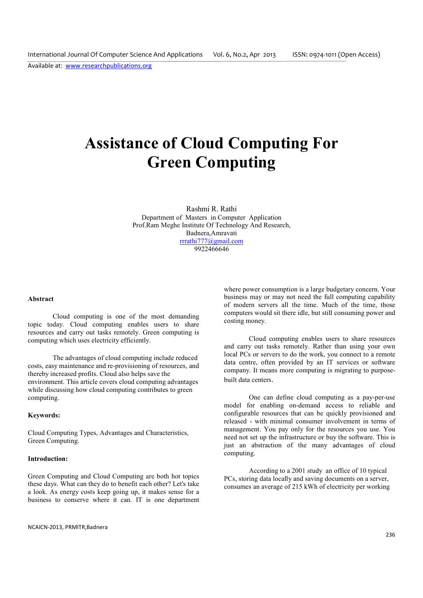# **Assistance of Cloud Computing For Green Computing**

Rashmi R. Rathi Department of Masters in Computer Application Prof.Ram Meghe Institute Of Technology And Research, Badnera,Amravati rrrathi777@gmail.com 9922466646

#### **Abstract**

Cloud computing is one of the most demanding topic today. Cloud computing enables users to share resources and carry out tasks remotely. Green computing is computing which uses electricity efficiently.

 The advantages of cloud computing include reduced costs, easy maintenance and re-provisioning of resources, and thereby increased profits. Cloud also helps save the environment. This article covers cloud computing advantages while discussing how cloud computing contributes to green computing.

## **Keywords:**

Cloud Computing Types, Advantages and Characteristics, Green Computing.

#### **Introduction:**

Green Computing and Cloud Computing are both hot topics these days. What can they do to benefit each other? Let's take a look. As energy costs keep going up, it makes sense for a business to conserve where it can. IT is one department

NCAICN-2013, PRMITR,Badnera

where power consumption is a large budgetary concern. Your business may or may not need the full computing capability of modern servers all the time. Much of the time, those computers would sit there idle, but still consuming power and costing money.

Cloud computing enables users to share resources and carry out tasks remotely. Rather than using your own local PCs or servers to do the work, you connect to a remote data centre, often provided by an IT services or software company. It means more computing is migrating to purposebuilt data centers.

 One can define cloud computing as a pay-per-use model for enabling on-demand access to reliable and configurable resources that can be quickly provisioned and released - with minimal consumer involvement in terms of management. You pay only for the resources you use. You need not set up the infrastructure or buy the software. This is just an abstraction of the many advantages of cloud computing.

According to a 2001 study an office of 10 typical PCs, storing data locally and saving documents on a server, consumes an average of 215 kWh of electricity per working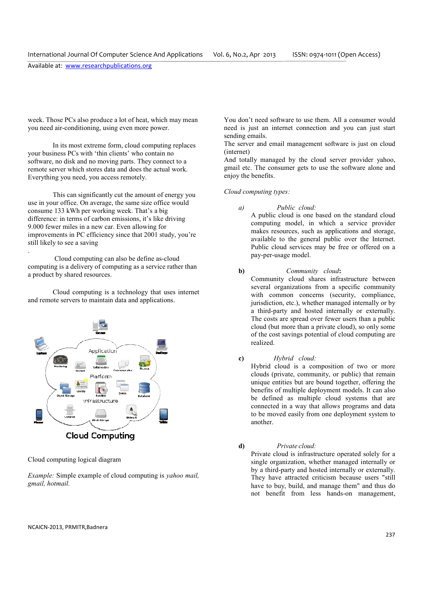week. Those PCs also produce a lot of heat, which may mean you need air-conditioning, using even more power.

In its most extreme form, cloud computing replaces your business PCs with 'thin clients' who contain no software, no disk and no moving parts. They connect to a remote server which stores data and does the actual work. Everything you need, you access remotely.

This can significantly cut the amount of energy you use in your office. On average, the same size office would consume 133 kWh per working week. That's a big difference: in terms of carbon emissions, it's like driving 9.000 fewer miles in a new car. Even allowing for improvements in PC efficiency since that 2001 study, you're still likely to see a saving

 Cloud computing can also be define as-cloud computing is a delivery of computing as a service rather than a product by shared resources.

.

Cloud computing is a technology that uses internet and remote servers to maintain data and applications.



Cloud computing logical diagram

*Example:* Simple example of cloud computing is *yahoo mail, gmail, hotmail.* 

You don't need software to use them. All a consumer would need is just an internet connection and you can just start sending emails.

The server and email management software is just on cloud (internet)

And totally managed by the cloud server provider yahoo, gmail etc. The consumer gets to use the software alone and enjoy the benefits.

*Cloud computing types:* 

*a) Public cloud:*  A public cloud is one based on the standard cloud computing model, in which a service provider makes resources, such as applications and storage, available to the general public over the Internet. Public cloud services may be free or offered on a pay-per-usage model.

# **b)** *Community cloud***:**

Community cloud shares infrastructure between several organizations from a specific community with common concerns (security, compliance, jurisdiction, etc.), whether managed internally or by a third-party and hosted internally or externally. The costs are spread over fewer users than a public cloud (but more than a private cloud), so only some of the cost savings potential of cloud computing are realized.

#### **c)** *Hybrid cloud:*

Hybrid cloud is a composition of two or more clouds (private, community, or public) that remain unique entities but are bound together, offering the benefits of multiple deployment models. It can also be defined as multiple cloud systems that are connected in a way that allows programs and data to be moved easily from one deployment system to another.

# **d)** *Private cloud:*

Private cloud is infrastructure operated solely for a single organization, whether managed internally or by a third-party and hosted internally or externally. They have attracted criticism because users "still have to buy, build, and manage them" and thus do not benefit from less hands-on management,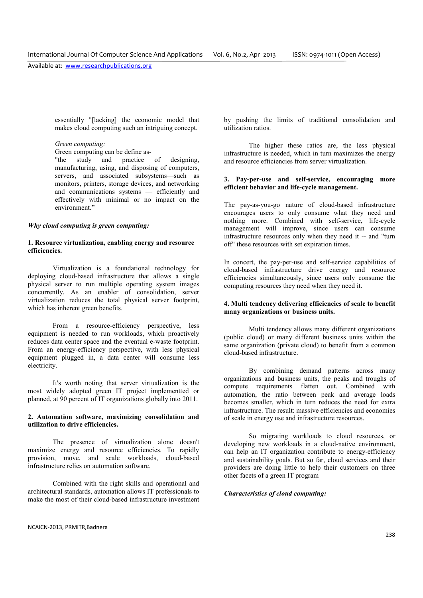essentially "[lacking] the economic model that makes cloud computing such an intriguing concept.

#### *Green computing:*

Green computing can be define as-<br>"the study and practice

and practice of designing, manufacturing, using, and disposing of computers, servers, and associated subsystems—such as monitors, printers, storage devices, and networking and communications systems — efficiently and effectively with minimal or no impact on the environment."

# *Why cloud computing is green computing:*

### **1. Resource virtualization, enabling energy and resource efficiencies.**

Virtualization is a foundational technology for deploying cloud-based infrastructure that allows a single physical server to run multiple operating system images concurrently. As an enabler of consolidation, server virtualization reduces the total physical server footprint, which has inherent green benefits.

From a resource-efficiency perspective, less equipment is needed to run workloads, which proactively reduces data center space and the eventual e-waste footprint. From an energy-efficiency perspective, with less physical equipment plugged in, a data center will consume less electricity.

It's worth noting that server virtualization is the most widely adopted green IT project implementted or planned, at 90 percent of IT organizations globally into 2011.

### **2. Automation software, maximizing consolidation and utilization to drive efficiencies.**

The presence of virtualization alone doesn't maximize energy and resource efficiencies. To rapidly provision, move, and scale workloads, cloud-based infrastructure relies on automation software.

Combined with the right skills and operational and architectural standards, automation allows IT professionals to make the most of their cloud-based infrastructure investment

by pushing the limits of traditional consolidation and utilization ratios.

The higher these ratios are, the less physical infrastructure is needed, which in turn maximizes the energy and resource efficiencies from server virtualization.

#### **3. Pay-per-use and self-service, encouraging more efficient behavior and life-cycle management.**

The pay-as-you-go nature of cloud-based infrastructure encourages users to only consume what they need and nothing more. Combined with self-service, life-cycle management will improve, since users can consume infrastructure resources only when they need it -- and "turn off" these resources with set expiration times.

In concert, the pay-per-use and self-service capabilities of cloud-based infrastructure drive energy and resource efficiencies simultaneously, since users only consume the computing resources they need when they need it.

### **4. Multi tendency delivering efficiencies of scale to benefit many organizations or business units.**

Multi tendency allows many different organizations (public cloud) or many different business units within the same organization (private cloud) to benefit from a common cloud-based infrastructure.

By combining demand patterns across many organizations and business units, the peaks and troughs of compute requirements flatten out. Combined with automation, the ratio between peak and average loads becomes smaller, which in turn reduces the need for extra infrastructure. The result: massive efficiencies and economies of scale in energy use and infrastructure resources.

So migrating workloads to cloud resources, or developing new workloads in a cloud-native environment, can help an IT organization contribute to energy-efficiency and sustainability goals. But so far, cloud services and their providers are doing little to help their customers on three other facets of a green IT program

#### *Characteristics of cloud computing:*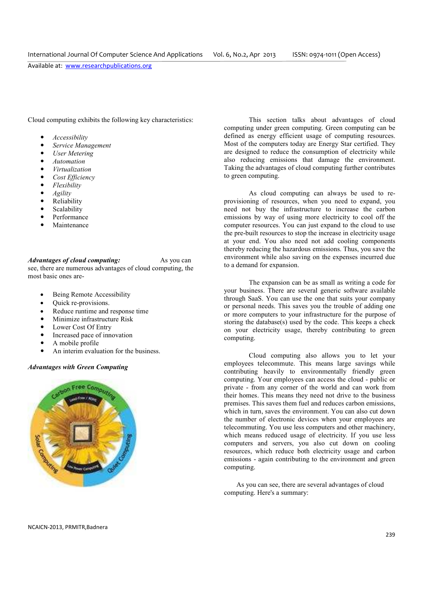Cloud computing exhibits the following key characteristics:

- *Accessibility*
- *Service Management*

Available at: www.researchpublications.org

- *User Metering*
- *Automation*
- *Virtualization*
- *Cost Efficiency*
- *Flexibility*
- *Agility*
- Reliability
- Scalability
- Performance
- Maintenance

*Advantages of cloud computing:* As you can see, there are numerous advantages of cloud computing, the most basic ones are-

- Being Remote Accessibility
- Quick re-provisions.
- Reduce runtime and response time
- Minimize infrastructure Risk
- Lower Cost Of Entry
- Increased pace of innovation
- A mobile profile
- An interim evaluation for the business.

#### *Advantages with Green Computing*



This section talks about advantages of cloud computing under green computing. Green computing can be defined as energy efficient usage of computing resources. Most of the computers today are Energy Star certified. They are designed to reduce the consumption of electricity while also reducing emissions that damage the environment. Taking the advantages of cloud computing further contributes to green computing.

As cloud computing can always be used to reprovisioning of resources, when you need to expand, you need not buy the infrastructure to increase the carbon emissions by way of using more electricity to cool off the computer resources. You can just expand to the cloud to use the pre-built resources to stop the increase in electricity usage at your end. You also need not add cooling components thereby reducing the hazardous emissions. Thus, you save the environment while also saving on the expenses incurred due to a demand for expansion.

The expansion can be as small as writing a code for your business. There are several generic software available through SaaS. You can use the one that suits your company or personal needs. This saves you the trouble of adding one or more computers to your infrastructure for the purpose of storing the database(s) used by the code. This keeps a check on your electricity usage, thereby contributing to green computing.

Cloud computing also allows you to let your employees telecommute. This means large savings while contributing heavily to environmentally friendly green computing. Your employees can access the cloud - public or private - from any corner of the world and can work from their homes. This means they need not drive to the business premises. This saves them fuel and reduces carbon emissions, which in turn, saves the environment. You can also cut down the number of electronic devices when your employees are telecommuting. You use less computers and other machinery, which means reduced usage of electricity. If you use less computers and servers, you also cut down on cooling resources, which reduce both electricity usage and carbon emissions - again contributing to the environment and green computing.

As you can see, there are several advantages of cloud computing. Here's a summary: